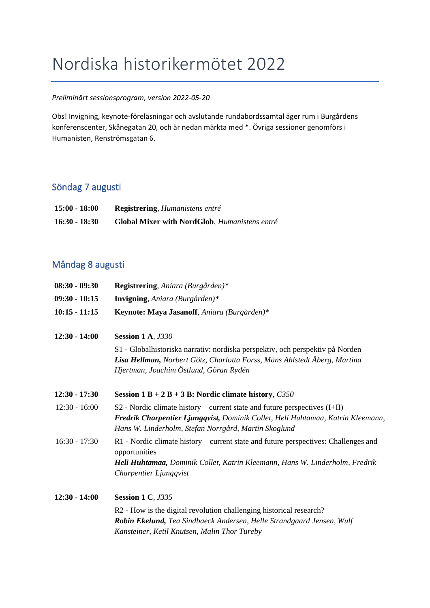# Nordiska historikermötet 2022

#### *Preliminärt sessionsprogram, version 2022-05-20*

Obs! Invigning, keynote-föreläsningar och avslutande rundabordssamtal äger rum i Burgårdens konferenscenter, Skånegatan 20, och är nedan märkta med \*. Övriga sessioner genomförs i Humanisten, Renströmsgatan 6.

## Söndag 7 augusti

| $15:00 - 18:00$ | <b>Registrering, Humanistens entré</b>               |
|-----------------|------------------------------------------------------|
| $16:30 - 18:30$ | <b>Global Mixer with NordGlob, Humanistens entré</b> |

## Måndag 8 augusti

| $08:30 - 09:30$ | Registrering, Aniara (Burgården)*                                                                                                                                                                                         |
|-----------------|---------------------------------------------------------------------------------------------------------------------------------------------------------------------------------------------------------------------------|
| $09:30 - 10:15$ | <b>Invigning</b> , <i>Aniara</i> ( <i>Burgården</i> )*                                                                                                                                                                    |
| $10:15 - 11:15$ | Keynote: Maya Jasanoff, Aniara (Burgården)*                                                                                                                                                                               |
| $12:30 - 14:00$ | <b>Session 1 A, J330</b>                                                                                                                                                                                                  |
|                 | S1 - Globalhistoriska narrativ: nordiska perspektiv, och perspektiv på Norden<br>Lisa Hellman, Norbert Götz, Charlotta Forss, Måns Ahlstedt Åberg, Martina<br>Hjertman, Joachim Östlund, Göran Rydén                      |
| $12:30 - 17:30$ | Session $1 B + 2 B + 3 B$ : Nordic climate history, C350                                                                                                                                                                  |
| $12:30 - 16:00$ | $S2$ - Nordic climate history – current state and future perspectives $(I+II)$<br>Fredrik Charpentier Ljungqvist, Dominik Collet, Heli Huhtamaa, Katrin Kleemann,<br>Hans W. Linderholm, Stefan Norrgård, Martin Skoglund |
| $16:30 - 17:30$ | R1 - Nordic climate history – current state and future perspectives: Challenges and<br>opportunities<br>Heli Huhtamaa, Dominik Collet, Katrin Kleemann, Hans W. Linderholm, Fredrik<br>Charpentier Ljungqvist             |
| $12:30 - 14:00$ | <b>Session 1 C, J335</b>                                                                                                                                                                                                  |
|                 | R2 - How is the digital revolution challenging historical research?<br>Robin Ekelund, Tea Sindbaeck Andersen, Helle Strandgaard Jensen, Wulf<br>Kansteiner, Ketil Knutsen, Malin Thor Tureby                              |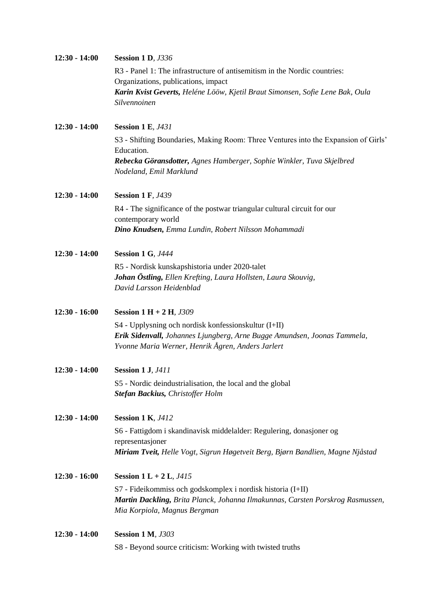| $12:30 - 14:00$ | <b>Session 1 D, J336</b>                                                                         |
|-----------------|--------------------------------------------------------------------------------------------------|
|                 | R3 - Panel 1: The infrastructure of antisemitism in the Nordic countries:                        |
|                 | Organizations, publications, impact                                                              |
|                 | Karin Kvist Geverts, Heléne Lööw, Kjetil Braut Simonsen, Sofie Lene Bak, Oula                    |
|                 | Silvennoinen                                                                                     |
| $12:30 - 14:00$ | <b>Session 1 E, J431</b>                                                                         |
|                 | S3 - Shifting Boundaries, Making Room: Three Ventures into the Expansion of Girls'<br>Education. |
|                 | Rebecka Göransdotter, Agnes Hamberger, Sophie Winkler, Tuva Skjelbred                            |
|                 | Nodeland, Emil Marklund                                                                          |
| $12:30 - 14:00$ | <b>Session 1 F, J439</b>                                                                         |
|                 | R4 - The significance of the postwar triangular cultural circuit for our                         |
|                 | contemporary world                                                                               |
|                 | Dino Knudsen, Emma Lundin, Robert Nilsson Mohammadi                                              |
| $12:30 - 14:00$ | <b>Session 1 G, J444</b>                                                                         |
|                 | R5 - Nordisk kunskapshistoria under 2020-talet                                                   |
|                 | Johan Östling, Ellen Krefting, Laura Hollsten, Laura Skouvig,                                    |
|                 | David Larsson Heidenblad                                                                         |
| $12:30 - 16:00$ | <b>Session 1 H + 2 H, J309</b>                                                                   |
|                 | S4 - Upplysning och nordisk konfessionskultur (I+II)                                             |
|                 | Erik Sidenvall, Johannes Ljungberg, Arne Bugge Amundsen, Joonas Tammela,                         |
|                 | Yvonne Maria Werner, Henrik Ågren, Anders Jarlert                                                |
| $12:30 - 14:00$ | <b>Session 1 J, J411</b>                                                                         |
|                 | S5 - Nordic deindustrialisation, the local and the global                                        |
|                 | Stefan Backius, Christoffer Holm                                                                 |
| $12:30 - 14:00$ | <b>Session 1 K, J412</b>                                                                         |
|                 | S6 - Fattigdom i skandinavisk middelalder: Regulering, donasjoner og                             |
|                 | representasjoner                                                                                 |
|                 | Miriam Tveit, Helle Vogt, Sigrun Høgetveit Berg, Bjørn Bandlien, Magne Njåstad                   |
| $12:30 - 16:00$ | <b>Session 1 L + 2 L, <math>J415</math></b>                                                      |
|                 | S7 - Fideikommiss och godskomplex i nordisk historia (I+II)                                      |
|                 | Martin Dackling, Brita Planck, Johanna Ilmakunnas, Carsten Porskrog Rasmussen,                   |
|                 | Mia Korpiola, Magnus Bergman                                                                     |
| $12:30 - 14:00$ | <b>Session 1 M, J303</b>                                                                         |
|                 | S8 - Beyond source criticism: Working with twisted truths                                        |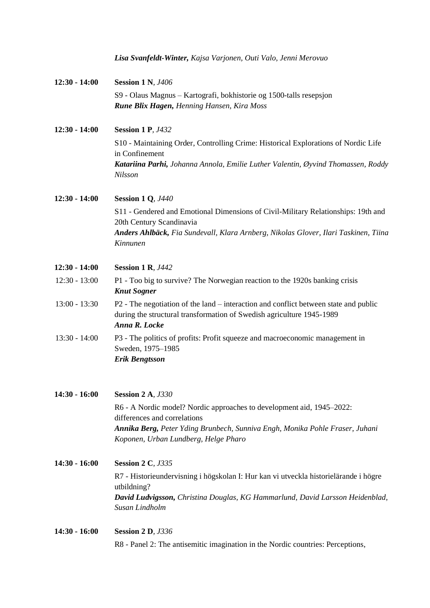|                 | Lisa Svanfeldt-Winter, Kajsa Varjonen, Outi Valo, Jenni Merovuo                                                                                                                |
|-----------------|--------------------------------------------------------------------------------------------------------------------------------------------------------------------------------|
| $12:30 - 14:00$ | <b>Session 1 N, J406</b>                                                                                                                                                       |
|                 | S9 - Olaus Magnus - Kartografi, bokhistorie og 1500-talls resepsjon<br>Rune Blix Hagen, Henning Hansen, Kira Moss                                                              |
| $12:30 - 14:00$ | <b>Session 1 P, J432</b>                                                                                                                                                       |
|                 | S10 - Maintaining Order, Controlling Crime: Historical Explorations of Nordic Life<br>in Confinement                                                                           |
|                 | Katariina Parhi, Johanna Annola, Emilie Luther Valentin, Øyvind Thomassen, Roddy<br>Nilsson                                                                                    |
| $12:30 - 14:00$ | <b>Session 1 Q, J440</b>                                                                                                                                                       |
|                 | S11 - Gendered and Emotional Dimensions of Civil-Military Relationships: 19th and<br>20th Century Scandinavia                                                                  |
|                 | Anders Ahlbäck, Fia Sundevall, Klara Arnberg, Nikolas Glover, Ilari Taskinen, Tiina<br>Kinnunen                                                                                |
| $12:30 - 14:00$ | <b>Session 1 R, J442</b>                                                                                                                                                       |
| $12:30 - 13:00$ | P1 - Too big to survive? The Norwegian reaction to the 1920s banking crisis<br><b>Knut Sogner</b>                                                                              |
| $13:00 - 13:30$ | P2 - The negotiation of the land – interaction and conflict between state and public<br>during the structural transformation of Swedish agriculture 1945-1989<br>Anna R. Locke |
| $13:30 - 14:00$ | P3 - The politics of profits: Profit squeeze and macroeconomic management in<br>Sweden, 1975-1985<br><b>Erik Bengtsson</b>                                                     |
| $14:30 - 16:00$ | <b>Session 2 A, J330</b>                                                                                                                                                       |
|                 | R6 - A Nordic model? Nordic approaches to development aid, 1945–2022:                                                                                                          |
|                 | differences and correlations<br>Annika Berg, Peter Yding Brunbech, Sunniva Engh, Monika Pohle Fraser, Juhani<br>Koponen, Urban Lundberg, Helge Pharo                           |
| $14:30 - 16:00$ | <b>Session 2 C, J335</b>                                                                                                                                                       |
|                 | R7 - Historieundervisning i högskolan I: Hur kan vi utveckla historielärande i högre                                                                                           |
|                 | utbildning?<br>David Ludvigsson, Christina Douglas, KG Hammarlund, David Larsson Heidenblad,<br>Susan Lindholm                                                                 |
| $14:30 - 16:00$ | <b>Session 2 D, J336</b>                                                                                                                                                       |
|                 | R8 - Panel 2: The antisemitic imagination in the Nordic countries: Perceptions,                                                                                                |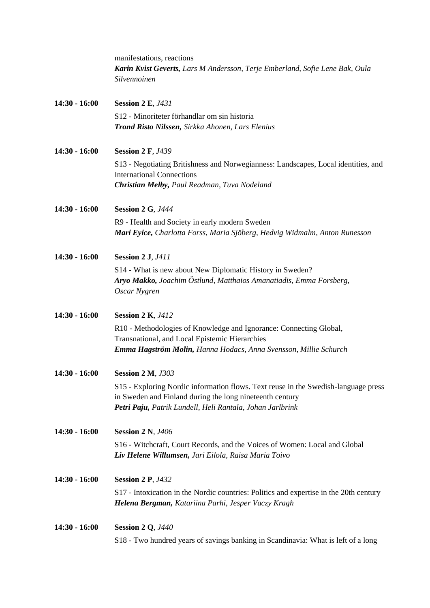|                 | manifestations, reactions<br>Karin Kvist Geverts, Lars M Andersson, Terje Emberland, Sofie Lene Bak, Oula<br>Silvennoinen                                                                                   |
|-----------------|-------------------------------------------------------------------------------------------------------------------------------------------------------------------------------------------------------------|
| $14:30 - 16:00$ | <b>Session 2 E, J431</b>                                                                                                                                                                                    |
|                 | S12 - Minoriteter förhandlar om sin historia<br>Trond Risto Nilssen, Sirkka Ahonen, Lars Elenius                                                                                                            |
| $14:30 - 16:00$ | <b>Session 2 F, J439</b>                                                                                                                                                                                    |
|                 | S13 - Negotiating Britishness and Norwegianness: Landscapes, Local identities, and<br><b>International Connections</b>                                                                                      |
|                 | Christian Melby, Paul Readman, Tuva Nodeland                                                                                                                                                                |
| $14:30 - 16:00$ | <b>Session 2 G, J444</b>                                                                                                                                                                                    |
|                 | R9 - Health and Society in early modern Sweden<br>Mari Eyice, Charlotta Forss, Maria Sjöberg, Hedvig Widmalm, Anton Runesson                                                                                |
| $14:30 - 16:00$ | <b>Session 2 J, J411</b>                                                                                                                                                                                    |
|                 | S14 - What is new about New Diplomatic History in Sweden?<br>Aryo Makko, Joachim Östlund, Matthaios Amanatiadis, Emma Forsberg,<br>Oscar Nygren                                                             |
| $14:30 - 16:00$ | <b>Session 2 K, J412</b>                                                                                                                                                                                    |
|                 | R10 - Methodologies of Knowledge and Ignorance: Connecting Global,<br>Transnational, and Local Epistemic Hierarchies                                                                                        |
|                 | Emma Hagström Molin, Hanna Hodacs, Anna Svensson, Millie Schurch                                                                                                                                            |
| $14:30 - 16:00$ | <b>Session 2 M, J303</b>                                                                                                                                                                                    |
|                 | S15 - Exploring Nordic information flows. Text reuse in the Swedish-language press<br>in Sweden and Finland during the long nineteenth century<br>Petri Paju, Patrik Lundell, Heli Rantala, Johan Jarlbrink |
| $14:30 - 16:00$ | <b>Session 2 N, J406</b>                                                                                                                                                                                    |
|                 | S16 - Witchcraft, Court Records, and the Voices of Women: Local and Global<br>Liv Helene Willumsen, Jari Eilola, Raisa Maria Toivo                                                                          |
| $14:30 - 16:00$ | <b>Session 2 P, J432</b>                                                                                                                                                                                    |
|                 | S17 - Intoxication in the Nordic countries: Politics and expertise in the 20th century<br>Helena Bergman, Katariina Parhi, Jesper Vaczy Kragh                                                               |
| $14:30 - 16:00$ | <b>Session 2 Q, J440</b>                                                                                                                                                                                    |
|                 | S18 - Two hundred years of savings banking in Scandinavia: What is left of a long                                                                                                                           |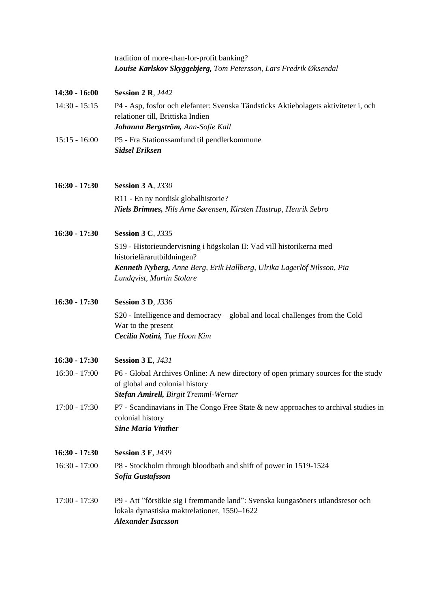|                 | tradition of more-than-for-profit banking?<br>Louise Karlskov Skyggebjerg, Tom Petersson, Lars Fredrik Øksendal                                                     |
|-----------------|---------------------------------------------------------------------------------------------------------------------------------------------------------------------|
| $14:30 - 16:00$ | <b>Session 2 R, J442</b>                                                                                                                                            |
| $14:30 - 15:15$ | P4 - Asp, fosfor och elefanter: Svenska Tändsticks Aktiebolagets aktiviteter i, och<br>relationer till, Brittiska Indien<br>Johanna Bergström, Ann-Sofie Kall       |
| $15:15 - 16:00$ | P5 - Fra Stationssamfund til pendlerkommune<br><b>Sidsel Eriksen</b>                                                                                                |
| $16:30 - 17:30$ | <b>Session 3 A, J330</b>                                                                                                                                            |
|                 | R11 - En ny nordisk globalhistorie?<br>Niels Brimnes, Nils Arne Sørensen, Kirsten Hastrup, Henrik Sebro                                                             |
| $16:30 - 17:30$ | <b>Session 3 C, J335</b>                                                                                                                                            |
|                 | S19 - Historieundervisning i högskolan II: Vad vill historikerna med<br>historielärarutbildningen?                                                                  |
|                 | Kenneth Nyberg, Anne Berg, Erik Hallberg, Ulrika Lagerlöf Nilsson, Pia<br>Lundqvist, Martin Stolare                                                                 |
| $16:30 - 17:30$ | <b>Session 3 D, J336</b>                                                                                                                                            |
|                 | S20 - Intelligence and democracy – global and local challenges from the Cold<br>War to the present<br>Cecilia Notini, Tae Hoon Kim                                  |
| $16:30 - 17:30$ | <b>Session 3 E, J431</b>                                                                                                                                            |
| $16:30 - 17:00$ | P6 - Global Archives Online: A new directory of open primary sources for the study<br>of global and colonial history<br><b>Stefan Amirell, Birgit Tremml-Werner</b> |
| $17:00 - 17:30$ | P7 - Scandinavians in The Congo Free State & new approaches to archival studies in<br>colonial history<br><b>Sine Maria Vinther</b>                                 |
| $16:30 - 17:30$ | <b>Session 3 F, J439</b>                                                                                                                                            |
| $16:30 - 17:00$ | P8 - Stockholm through bloodbath and shift of power in 1519-1524<br>Sofia Gustafsson                                                                                |
| $17:00 - 17:30$ | P9 - Att "försökie sig i fremmande land": Svenska kungasöners utlandsresor och<br>lokala dynastiska maktrelationer, 1550-1622<br><b>Alexander Isacsson</b>          |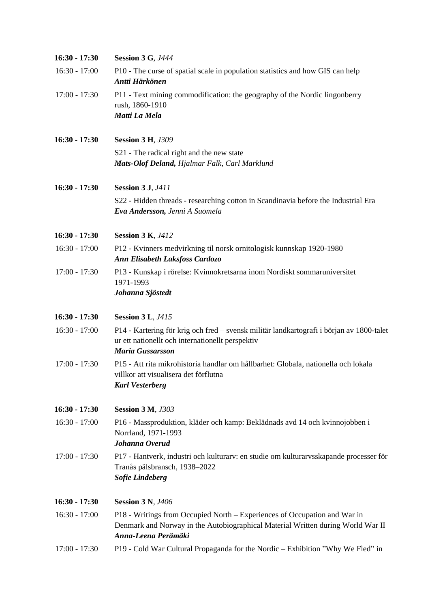| $16:30 - 17:30$ | <b>Session 3 G, J444</b>                                                                                                                                                            |
|-----------------|-------------------------------------------------------------------------------------------------------------------------------------------------------------------------------------|
| $16:30 - 17:00$ | P10 - The curse of spatial scale in population statistics and how GIS can help<br>Antti Härkönen                                                                                    |
| $17:00 - 17:30$ | P11 - Text mining commodification: the geography of the Nordic lingonberry<br>rush, 1860-1910<br>Matti La Mela                                                                      |
| $16:30 - 17:30$ | <b>Session 3 H, J309</b>                                                                                                                                                            |
|                 | S21 - The radical right and the new state<br>Mats-Olof Deland, Hjalmar Falk, Carl Marklund                                                                                          |
| $16:30 - 17:30$ | <b>Session 3 J, J411</b>                                                                                                                                                            |
|                 | S22 - Hidden threads - researching cotton in Scandinavia before the Industrial Era<br>Eva Andersson, Jenni A Suomela                                                                |
| $16:30 - 17:30$ | <b>Session 3 K, J412</b>                                                                                                                                                            |
| $16:30 - 17:00$ | P12 - Kvinners medvirkning til norsk ornitologisk kunnskap 1920-1980<br><b>Ann Elisabeth Laksfoss Cardozo</b>                                                                       |
| $17:00 - 17:30$ | P13 - Kunskap i rörelse: Kvinnokretsarna inom Nordiskt sommaruniversitet<br>1971-1993<br>Johanna Sjöstedt                                                                           |
| 16:30 - 17:30   | <b>Session 3 L, J415</b>                                                                                                                                                            |
| $16:30 - 17:00$ | P14 - Kartering för krig och fred – svensk militär landkartografi i början av 1800-talet<br>ur ett nationellt och internationellt perspektiv<br><b>Maria Gussarsson</b>             |
| $17:00 - 17:30$ | P15 - Att rita mikrohistoria handlar om hållbarhet: Globala, nationella och lokala<br>villkor att visualisera det förflutna<br><b>Karl Vesterberg</b>                               |
| $16:30 - 17:30$ | <b>Session 3 M, J303</b>                                                                                                                                                            |
| $16:30 - 17:00$ | P16 - Massproduktion, kläder och kamp: Beklädnads avd 14 och kvinnojobben i<br>Norrland, 1971-1993<br>Johanna Overud                                                                |
| $17:00 - 17:30$ | P17 - Hantverk, industri och kulturarv: en studie om kulturarvsskapande processer för<br>Tranås pälsbransch, 1938-2022<br><b>Sofie Lindeberg</b>                                    |
| $16:30 - 17:30$ | <b>Session 3 N, J406</b>                                                                                                                                                            |
| $16:30 - 17:00$ | P18 - Writings from Occupied North – Experiences of Occupation and War in<br>Denmark and Norway in the Autobiographical Material Written during World War II<br>Anna-Leena Perämäki |
| $17:00 - 17:30$ | P19 - Cold War Cultural Propaganda for the Nordic - Exhibition "Why We Fled" in                                                                                                     |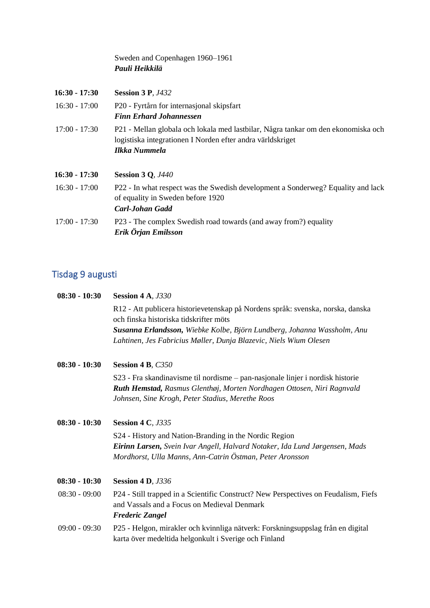Sweden and Copenhagen 1960–1961 *Pauli Heikkilä*

| $16:30 - 17:30$ | <b>Session 3 P, J432</b>                                                                                                                                         |
|-----------------|------------------------------------------------------------------------------------------------------------------------------------------------------------------|
| $16:30 - 17:00$ | P20 - Fyrtårn for internasjonal skipsfart                                                                                                                        |
|                 | <b>Finn Erhard Johannessen</b>                                                                                                                                   |
| $17:00 - 17:30$ | P21 - Mellan globala och lokala med lastbilar, Några tankar om den ekonomiska och<br>logistiska integrationen I Norden efter andra världskriget<br>Ilkka Nummela |
| $16:30 - 17:30$ | <b>Session 3 Q, J440</b>                                                                                                                                         |
| $16:30 - 17:00$ | P22 - In what respect was the Swedish development a Sonderweg? Equality and lack<br>of equality in Sweden before 1920<br><b>Carl-Johan Gadd</b>                  |
| $17:00 - 17:30$ | P23 - The complex Swedish road towards (and away from?) equality<br>Erik Örjan Emilsson                                                                          |

# Tisdag 9 augusti

| $08:30 - 10:30$ | <b>Session 4 A, J330</b>                                                                                                                                     |
|-----------------|--------------------------------------------------------------------------------------------------------------------------------------------------------------|
|                 | R12 - Att publicera historievetenskap på Nordens språk: svenska, norska, danska<br>och finska historiska tidskrifter möts                                    |
|                 | Susanna Erlandsson, Wiebke Kolbe, Björn Lundberg, Johanna Wassholm, Anu                                                                                      |
|                 | Lahtinen, Jes Fabricius Møller, Dunja Blazevic, Niels Wium Olesen                                                                                            |
| $08:30 - 10:30$ | Session 4 B, C350                                                                                                                                            |
|                 | S23 - Fra skandinavisme til nordisme – pan-nasjonale linjer i nordisk historie                                                                               |
|                 | Ruth Hemstad, Rasmus Glenthøj, Morten Nordhagen Ottosen, Niri Ragnvald                                                                                       |
|                 | Johnsen, Sine Krogh, Peter Stadius, Merethe Roos                                                                                                             |
| $08:30 - 10:30$ | <b>Session 4 C, J335</b>                                                                                                                                     |
|                 | S24 - History and Nation-Branding in the Nordic Region                                                                                                       |
|                 | <b>Eirinn Larsen,</b> Svein Ivar Angell, Halvard Notaker, Ida Lund Jørgensen, Mads<br>Mordhorst, Ulla Manns, Ann-Catrin Östman, Peter Aronsson               |
| $08:30 - 10:30$ | <b>Session 4 D, J336</b>                                                                                                                                     |
| $08:30 - 09:00$ | P24 - Still trapped in a Scientific Construct? New Perspectives on Feudalism, Fiefs<br>and Vassals and a Focus on Medieval Denmark<br><b>Frederic Zangel</b> |
| $09:00 - 09:30$ | P25 - Helgon, mirakler och kvinnliga nätverk: Forskningsuppslag från en digital<br>karta över medeltida helgonkult i Sverige och Finland                     |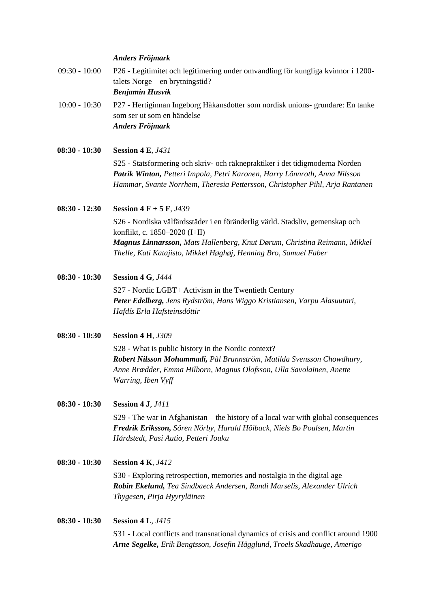#### *Anders Fröjmark*

09:30 - 10:00 P26 - Legitimitet och legitimering under omvandling för kungliga kvinnor i 1200 talets Norge – en brytningstid?

*Benjamin Husvik*

- 10:00 10:30 P27 Hertiginnan Ingeborg Håkansdotter som nordisk unions- grundare: En tanke som ser ut som en händelse *Anders Fröjmark*
- **08:30 - 10:30 Session 4 E***, J431*

S25 - Statsformering och skriv- och räknepraktiker i det tidigmoderna Norden *Patrik Winton, Petteri Impola, Petri Karonen, Harry Lönnroth, Anna Nilsson Hammar, Svante Norrhem, Theresia Pettersson, Christopher Pihl, Arja Rantanen*

#### **08:30 - 12:30 Session 4 F + 5 F***, J439*

S26 - Nordiska välfärdsstäder i en föränderlig värld. Stadsliv, gemenskap och konflikt, c. 1850–2020 (I+II) *Magnus Linnarsson, Mats Hallenberg, Knut Dørum, Christina Reimann, Mikkel Thelle, Kati Katajisto, Mikkel Høghøj, Henning Bro, Samuel Faber*

**08:30 - 10:30 Session 4 G***, J444*

S27 - Nordic LGBT+ Activism in the Twentieth Century *Peter Edelberg, Jens Rydström, Hans Wiggo Kristiansen, Varpu Alasuutari, Hafdís Erla Hafsteinsdóttir*

**08:30 - 10:30 Session 4 H***, J309*

S28 - What is public history in the Nordic context? *Robert Nilsson Mohammadi, Pål Brunnström, Matilda Svensson Chowdhury, Anne Brædder, Emma Hilborn, Magnus Olofsson, Ulla Savolainen, Anette Warring, Iben Vyff*

**08:30 - 10:30 Session 4 J***, J411*

S29 - The war in Afghanistan – the history of a local war with global consequences *Fredrik Eriksson, Sören Nörby, Harald Höiback, Niels Bo Poulsen, Martin Hårdstedt, Pasi Autio, Petteri Jouku*

- **08:30 - 10:30 Session 4 K***, J412* S30 - Exploring retrospection, memories and nostalgia in the digital age *Robin Ekelund, Tea Sindbaeck Andersen, Randi Marselis, Alexander Ulrich Thygesen, Pirja Hyyryläinen*
- **08:30 - 10:30 Session 4 L***, J415*

S31 - Local conflicts and transnational dynamics of crisis and conflict around 1900 *Arne Segelke, Erik Bengtsson, Josefin Hägglund, Troels Skadhauge, Amerigo*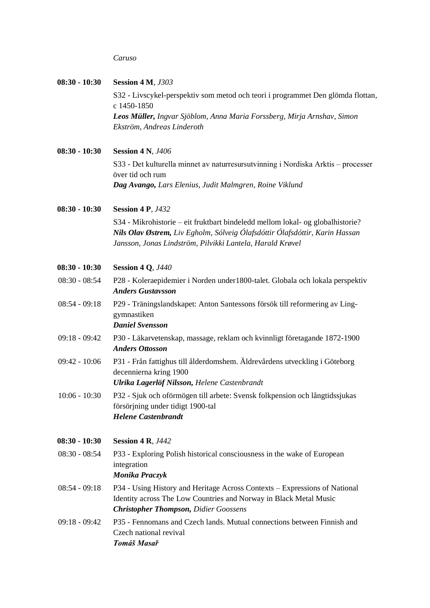#### *Caruso*

| $08:30 - 10:30$ | <b>Session 4 M, J303</b>                                                                                                                                                                                                   |
|-----------------|----------------------------------------------------------------------------------------------------------------------------------------------------------------------------------------------------------------------------|
|                 | S32 - Livscykel-perspektiv som metod och teori i programmet Den glömda flottan,<br>c 1450-1850                                                                                                                             |
|                 | Leos Müller, Ingvar Sjöblom, Anna Maria Forssberg, Mirja Arnshav, Simon<br>Ekström, Andreas Linderoth                                                                                                                      |
| $08:30 - 10:30$ | <b>Session 4 N, J406</b>                                                                                                                                                                                                   |
|                 | S33 - Det kulturella minnet av naturresursutvinning i Nordiska Arktis – processer<br>över tid och rum                                                                                                                      |
|                 | Dag Avango, Lars Elenius, Judit Malmgren, Roine Viklund                                                                                                                                                                    |
| $08:30 - 10:30$ | <b>Session 4 P, J432</b>                                                                                                                                                                                                   |
|                 | S34 - Mikrohistorie – eit fruktbart bindeledd mellom lokal- og globalhistorie?<br>Nils Olav Østrem, Liv Egholm, Sólveig Ólafsdóttir Ólafsdóttir, Karin Hassan<br>Jansson, Jonas Lindström, Pilvikki Lantela, Harald Krøvel |
| $08:30 - 10:30$ | <b>Session 4 Q, J440</b>                                                                                                                                                                                                   |
| $08:30 - 08:54$ | P28 - Koleraepidemier i Norden under 1800-talet. Globala och lokala perspektiv<br><b>Anders Gustavsson</b>                                                                                                                 |
| $08:54 - 09:18$ | P29 - Träningslandskapet: Anton Santessons försök till reformering av Ling-<br>gymnastiken<br><b>Daniel Svensson</b>                                                                                                       |
| $09:18 - 09:42$ | P30 - Läkarvetenskap, massage, reklam och kvinnligt företagande 1872-1900<br><b>Anders Ottosson</b>                                                                                                                        |
| $09:42 - 10:06$ | P31 - Från fattighus till ålderdomshem. Äldrevårdens utveckling i Göteborg<br>decennierna kring 1900<br>Ulrika Lagerlöf Nilsson, Helene Castenbrandt                                                                       |
| $10:06 - 10:30$ | P32 - Sjuk och oförmögen till arbete: Svensk folkpension och långtidssjukas<br>försörjning under tidigt 1900-tal<br><b>Helene Castenbrandt</b>                                                                             |
| $08:30 - 10:30$ | <b>Session 4 R, J442</b>                                                                                                                                                                                                   |
| $08:30 - 08:54$ | P33 - Exploring Polish historical consciousness in the wake of European<br>integration<br>Monika Praczyk                                                                                                                   |
| $08:54 - 09:18$ | P34 - Using History and Heritage Across Contexts – Expressions of National<br>Identity across The Low Countries and Norway in Black Metal Music<br><b>Christopher Thompson, Didier Goossens</b>                            |
| $09:18 - 09:42$ | P35 - Fennomans and Czech lands. Mutual connections between Finnish and<br>Czech national revival<br>Tomáš Masař                                                                                                           |
|                 |                                                                                                                                                                                                                            |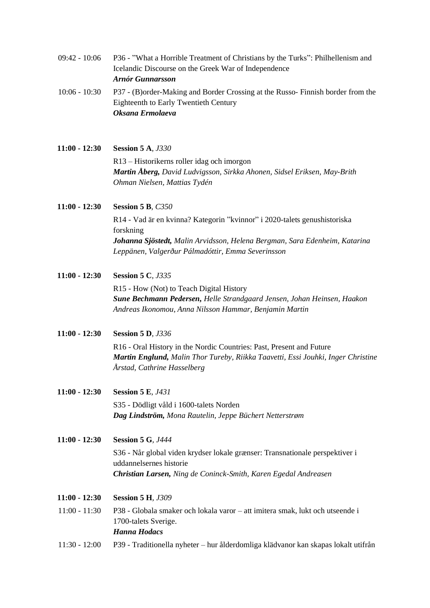| $09:42 - 10:06$                    | P36 - "What a Horrible Treatment of Christians by the Turks": Philhellenism and<br>Icelandic Discourse on the Greek War of Independence<br><b>Arnór Gunnarsson</b>                      |
|------------------------------------|-----------------------------------------------------------------------------------------------------------------------------------------------------------------------------------------|
| $10:06 - 10:30$                    | P37 - (B) order-Making and Border Crossing at the Russo-Finnish border from the<br><b>Eighteenth to Early Twentieth Century</b><br>Oksana Ermolaeva                                     |
| $11:00 - 12:30$                    | <b>Session 5 A, J330</b>                                                                                                                                                                |
|                                    | R13 – Historikerns roller idag och imorgon<br>Martin Åberg, David Ludvigsson, Sirkka Ahonen, Sidsel Eriksen, May-Brith<br>Ohman Nielsen, Mattias Tydén                                  |
| $11:00 - 12:30$                    | <b>Session 5 B, C350</b>                                                                                                                                                                |
|                                    | R14 - Vad är en kvinna? Kategorin "kvinnor" i 2020-talets genushistoriska<br>forskning                                                                                                  |
|                                    | Johanna Sjöstedt, Malin Arvidsson, Helena Bergman, Sara Edenheim, Katarina<br>Leppänen, Valgerður Pálmadóttir, Emma Severinsson                                                         |
| $11:00 - 12:30$                    | <b>Session 5 C, J335</b>                                                                                                                                                                |
|                                    | R15 - How (Not) to Teach Digital History<br>Sune Bechmann Pedersen, Helle Strandgaard Jensen, Johan Heinsen, Haakon<br>Andreas Ikonomou, Anna Nilsson Hammar, Benjamin Martin           |
| $11:00 - 12:30$                    | <b>Session 5 D, J336</b>                                                                                                                                                                |
|                                    | R16 - Oral History in the Nordic Countries: Past, Present and Future<br>Martin Englund, Malin Thor Tureby, Riikka Taavetti, Essi Jouhki, Inger Christine<br>Årstad, Cathrine Hasselberg |
| $11:00 - 12:30$                    | <b>Session 5 E, J431</b>                                                                                                                                                                |
|                                    | S35 - Dödligt våld i 1600-talets Norden<br>Dag Lindström, Mona Rautelin, Jeppe Büchert Netterstrøm                                                                                      |
| $11:00 - 12:30$                    | <b>Session 5 G, J444</b>                                                                                                                                                                |
|                                    | S36 - Når global viden krydser lokale grænser: Transnationale perspektiver i<br>uddannelsernes historie<br>Christian Larsen, Ning de Coninck-Smith, Karen Egedal Andreasen              |
|                                    |                                                                                                                                                                                         |
|                                    |                                                                                                                                                                                         |
| $11:00 - 12:30$<br>$11:00 - 11:30$ | <b>Session 5 H, J309</b><br>P38 - Globala smaker och lokala varor – att imitera smak, lukt och utseende i                                                                               |
|                                    | 1700-talets Sverige.<br><b>Hanna Hodacs</b>                                                                                                                                             |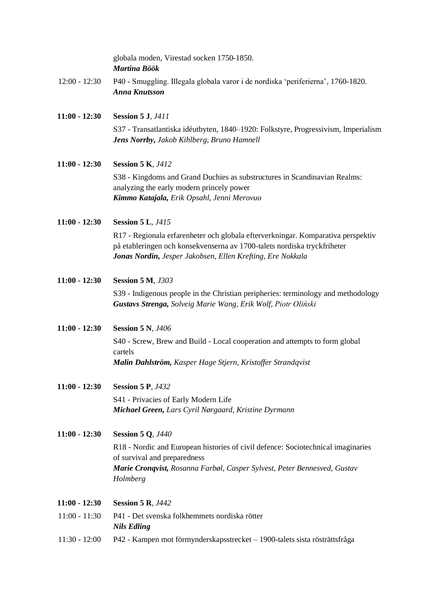|                 | globala moden, Virestad socken 1750-1850.<br>Martina Böök                                                                                                                                                                  |
|-----------------|----------------------------------------------------------------------------------------------------------------------------------------------------------------------------------------------------------------------------|
| $12:00 - 12:30$ | P40 - Smuggling. Illegala globala varor i de nordiska 'periferierna', 1760-1820.<br><b>Anna Knutsson</b>                                                                                                                   |
| $11:00 - 12:30$ | <b>Session 5 J, J411</b>                                                                                                                                                                                                   |
|                 | S37 - Transatlantiska idéutbyten, 1840–1920: Folkstyre, Progressivism, Imperialism<br>Jens Norrby, Jakob Kihlberg, Bruno Hamnell                                                                                           |
| $11:00 - 12:30$ | <b>Session 5 K, J412</b>                                                                                                                                                                                                   |
|                 | S38 - Kingdoms and Grand Duchies as substructures in Scandinavian Realms:<br>analyzing the early modern princely power<br>Kimmo Katajala, Erik Opsahl, Jenni Merovuo                                                       |
| $11:00 - 12:30$ | <b>Session 5 L, J415</b>                                                                                                                                                                                                   |
|                 | R17 - Regionala erfarenheter och globala efterverkningar. Komparativa perspektiv<br>på etableringen och konsekvenserna av 1700-talets nordiska tryckfriheter<br>Jonas Nordin, Jesper Jakobsen, Ellen Krefting, Ere Nokkala |
| $11:00 - 12:30$ | <b>Session 5 M, J303</b>                                                                                                                                                                                                   |
|                 | S39 - Indigenous people in the Christian peripheries: terminology and methodology<br>Gustavs Strenga, Solveig Marie Wang, Erik Wolf, Piotr Oliński                                                                         |
| $11:00 - 12:30$ | <b>Session 5 N, J406</b>                                                                                                                                                                                                   |
|                 | S40 - Screw, Brew and Build - Local cooperation and attempts to form global                                                                                                                                                |
|                 | cartels<br>Malin Dahlström, Kasper Hage Stjern, Kristoffer Strandqvist                                                                                                                                                     |
| $11:00 - 12:30$ | <b>Session 5 P, J432</b>                                                                                                                                                                                                   |
|                 | S41 - Privacies of Early Modern Life<br>Michael Green, Lars Cyril Nørgaard, Kristine Dyrmann                                                                                                                               |
| $11:00 - 12:30$ | <b>Session 5 Q, J440</b>                                                                                                                                                                                                   |
|                 | R18 - Nordic and European histories of civil defence: Sociotechnical imaginaries<br>of survival and preparedness                                                                                                           |
|                 | Marie Cronqvist, Rosanna Farbøl, Casper Sylvest, Peter Bennesved, Gustav<br>Holmberg                                                                                                                                       |
| $11:00 - 12:30$ | <b>Session 5 R, J442</b>                                                                                                                                                                                                   |
| $11:00 - 11:30$ | P41 - Det svenska folkhemmets nordiska rötter<br><b>Nils Edling</b>                                                                                                                                                        |
| $11:30 - 12:00$ | P42 - Kampen mot förmynderskapsstrecket – 1900-talets sista rösträttsfråga                                                                                                                                                 |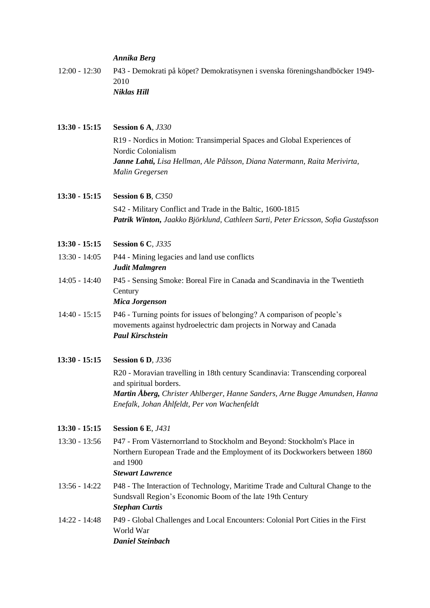#### *Annika Berg*

12:00 - 12:30 P43 - Demokrati på köpet? Demokratisynen i svenska föreningshandböcker 1949- 2010 *Niklas Hill*

#### **13:30 - 15:15 Session 6 A***, J330*

R19 - Nordics in Motion: Transimperial Spaces and Global Experiences of Nordic Colonialism *Janne Lahti, Lisa Hellman, Ale Pålsson, Diana Natermann, Raita Merivirta, Malin Gregersen*

#### **13:30 - 15:15 Session 6 B***, C350*

S42 - Military Conflict and Trade in the Baltic, 1600-1815 *Patrik Winton, Jaakko Björklund, Cathleen Sarti, Peter Ericsson, Sofia Gustafsson*

- **13:30 - 15:15 Session 6 C***, J335*
- 13:30 14:05 P44 Mining legacies and land use conflicts *Judit Malmgren*
- 14:05 14:40 P45 Sensing Smoke: Boreal Fire in Canada and Scandinavia in the Twentieth **Century**

*Mica Jorgenson*

- 14:40 15:15 P46 Turning points for issues of belonging? A comparison of people's movements against hydroelectric dam projects in Norway and Canada *Paul Kirschstein*
- **13:30 - 15:15 Session 6 D***, J336*

R20 - Moravian travelling in 18th century Scandinavia: Transcending corporeal and spiritual borders. *Martin Åberg, Christer Ahlberger, Hanne Sanders, Arne Bugge Amundsen, Hanna Enefalk, Johan Åhlfeldt, Per von Wachenfeldt*

- **13:30 - 15:15 Session 6 E***, J431*
- 13:30 13:56 P47 From Västernorrland to Stockholm and Beyond: Stockholm's Place in Northern European Trade and the Employment of its Dockworkers between 1860 and 1900

#### *Stewart Lawrence*

- 13:56 14:22 P48 The Interaction of Technology, Maritime Trade and Cultural Change to the Sundsvall Region's Economic Boom of the late 19th Century *Stephan Curtis*
- 14:22 14:48 P49 Global Challenges and Local Encounters: Colonial Port Cities in the First World War *Daniel Steinbach*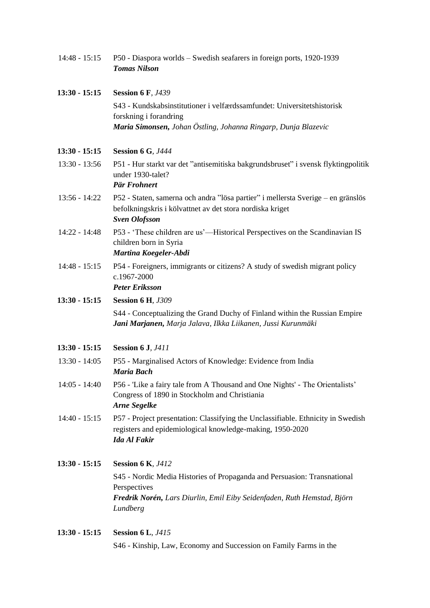| $14:48 - 15:15$ | P50 - Diaspora worlds - Swedish seafarers in foreign ports, 1920-1939<br><b>Tomas Nilson</b>                                                                          |  |  |  |
|-----------------|-----------------------------------------------------------------------------------------------------------------------------------------------------------------------|--|--|--|
| $13:30 - 15:15$ | <b>Session 6 F, J439</b>                                                                                                                                              |  |  |  |
|                 | S43 - Kundskabsinstitutioner i velfærdssamfundet: Universitetshistorisk                                                                                               |  |  |  |
|                 | forskning i forandring<br>Maria Simonsen, Johan Östling, Johanna Ringarp, Dunja Blazevic                                                                              |  |  |  |
|                 |                                                                                                                                                                       |  |  |  |
| $13:30 - 15:15$ | <b>Session 6 G, J444</b>                                                                                                                                              |  |  |  |
| $13:30 - 13:56$ | P51 - Hur starkt var det "antisemitiska bakgrundsbruset" i svensk flyktingpolitik<br>under 1930-talet?                                                                |  |  |  |
|                 | Pär Frohnert                                                                                                                                                          |  |  |  |
| $13:56 - 14:22$ | P52 - Staten, samerna och andra "lösa partier" i mellersta Sverige – en gränslös<br>befolkningskris i kölvattnet av det stora nordiska kriget<br><b>Sven Olofsson</b> |  |  |  |
| 14:22 - 14:48   | P53 - 'These children are us'—Historical Perspectives on the Scandinavian IS<br>children born in Syria<br>Martina Koegeler-Abdi                                       |  |  |  |
| $14:48 - 15:15$ | P54 - Foreigners, immigrants or citizens? A study of swedish migrant policy<br>c.1967-2000<br><b>Peter Eriksson</b>                                                   |  |  |  |
| $13:30 - 15:15$ | <b>Session 6 H, J309</b>                                                                                                                                              |  |  |  |
|                 | S44 - Conceptualizing the Grand Duchy of Finland within the Russian Empire<br>Jani Marjanen, Marja Jalava, Ilkka Liikanen, Jussi Kurunmäki                            |  |  |  |
| $13:30 - 15:15$ | <b>Session 6 J, J411</b>                                                                                                                                              |  |  |  |
| $13:30 - 14:05$ | P55 - Marginalised Actors of Knowledge: Evidence from India<br><b>Maria Bach</b>                                                                                      |  |  |  |
| $14:05 - 14:40$ | P56 - 'Like a fairy tale from A Thousand and One Nights' - The Orientalists'<br>Congress of 1890 in Stockholm and Christiania<br><b>Arne Segelke</b>                  |  |  |  |
| $14:40 - 15:15$ | P57 - Project presentation: Classifying the Unclassifiable. Ethnicity in Swedish<br>registers and epidemiological knowledge-making, 1950-2020<br><b>Ida Al Fakir</b>  |  |  |  |
| $13:30 - 15:15$ | <b>Session 6 K, J412</b>                                                                                                                                              |  |  |  |
|                 | S45 - Nordic Media Histories of Propaganda and Persuasion: Transnational<br>Perspectives                                                                              |  |  |  |
|                 | Fredrik Norén, Lars Diurlin, Emil Eiby Seidenfaden, Ruth Hemstad, Björn<br>Lundberg                                                                                   |  |  |  |
| $13:30 - 15:15$ | <b>Session 6 L, J415</b>                                                                                                                                              |  |  |  |
|                 | S46 - Kinship, Law, Economy and Succession on Family Farms in the                                                                                                     |  |  |  |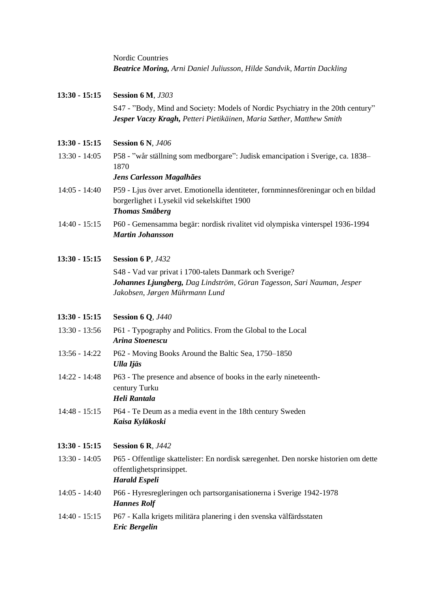| <b>Nordic Countries</b>                                                       |  |
|-------------------------------------------------------------------------------|--|
| <b>Beatrice Moring, Arni Daniel Juliusson, Hilde Sandvik, Martin Dackling</b> |  |

| $13:30 - 15:15$ | <b>Session 6 M, J303</b>                                                                                                                                            |  |  |  |
|-----------------|---------------------------------------------------------------------------------------------------------------------------------------------------------------------|--|--|--|
|                 | S47 - "Body, Mind and Society: Models of Nordic Psychiatry in the 20th century"<br>Jesper Vaczy Kragh, Petteri Pietikäinen, Maria Sæther, Matthew Smith             |  |  |  |
| $13:30 - 15:15$ | <b>Session 6 N, J406</b>                                                                                                                                            |  |  |  |
| $13:30 - 14:05$ | P58 - "wår ställning som medborgare": Judisk emancipation i Sverige, ca. 1838–<br>1870<br>Jens Carlesson Magalhães                                                  |  |  |  |
| $14:05 - 14:40$ | P59 - Ljus över arvet. Emotionella identiteter, fornminnesföreningar och en bildad<br>borgerlighet i Lysekil vid sekelskiftet 1900<br><b>Thomas Småberg</b>         |  |  |  |
| $14:40 - 15:15$ | P60 - Gemensamma begär: nordisk rivalitet vid olympiska vinterspel 1936-1994<br><b>Martin Johansson</b>                                                             |  |  |  |
| $13:30 - 15:15$ | <b>Session 6 P, J432</b>                                                                                                                                            |  |  |  |
|                 | S48 - Vad var privat i 1700-talets Danmark och Sverige?<br>Johannes Ljungberg, Dag Lindström, Göran Tagesson, Sari Nauman, Jesper<br>Jakobsen, Jørgen Mührmann Lund |  |  |  |
| $13:30 - 15:15$ | <b>Session 6 Q, J440</b>                                                                                                                                            |  |  |  |
| $13:30 - 13:56$ | P61 - Typography and Politics. From the Global to the Local<br>Arina Stoenescu                                                                                      |  |  |  |
| $13:56 - 14:22$ | P62 - Moving Books Around the Baltic Sea, 1750–1850<br>Ulla Ijäs                                                                                                    |  |  |  |
| $14:22 - 14:48$ | P63 - The presence and absence of books in the early nineteenth-<br>century Turku<br>Heli Rantala                                                                   |  |  |  |
|                 | 14:48 - 15:15 P64 - Te Deum as a media event in the 18th century Sweden<br>Kaisa Kyläkoski                                                                          |  |  |  |
| $13:30 - 15:15$ | <b>Session 6 R, J442</b>                                                                                                                                            |  |  |  |
| $13:30 - 14:05$ | P65 - Offentlige skattelister: En nordisk særegenhet. Den norske historien om dette<br>offentlighetsprinsippet.<br><b>Harald Espeli</b>                             |  |  |  |
| $14:05 - 14:40$ | P66 - Hyresregleringen och partsorganisationerna i Sverige 1942-1978<br><b>Hannes Rolf</b>                                                                          |  |  |  |
| $14:40 - 15:15$ | P67 - Kalla krigets militära planering i den svenska välfärdsstaten<br><b>Eric Bergelin</b>                                                                         |  |  |  |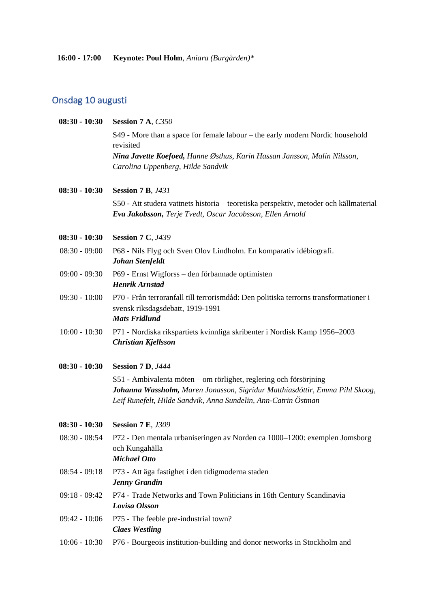# Onsdag 10 augusti

| $08:30 - 10:30$ | Session 7 A, C350                                                                                                                                                                                                  |  |  |  |  |
|-----------------|--------------------------------------------------------------------------------------------------------------------------------------------------------------------------------------------------------------------|--|--|--|--|
|                 | S49 - More than a space for female labour – the early modern Nordic household                                                                                                                                      |  |  |  |  |
|                 | revisited                                                                                                                                                                                                          |  |  |  |  |
|                 | Nina Javette Koefoed, Hanne Østhus, Karin Hassan Jansson, Malin Nilsson,<br>Carolina Uppenberg, Hilde Sandvik                                                                                                      |  |  |  |  |
| $08:30 - 10:30$ | <b>Session 7 B, J431</b>                                                                                                                                                                                           |  |  |  |  |
|                 | S50 - Att studera vattnets historia – teoretiska perspektiv, metoder och källmaterial<br>Eva Jakobsson, Terje Tvedt, Oscar Jacobsson, Ellen Arnold                                                                 |  |  |  |  |
| $08:30 - 10:30$ | <b>Session 7 C, J439</b>                                                                                                                                                                                           |  |  |  |  |
| $08:30 - 09:00$ | P68 - Nils Flyg och Sven Olov Lindholm. En komparativ idébiografi.<br>Johan Stenfeldt                                                                                                                              |  |  |  |  |
| $09:00 - 09:30$ | P69 - Ernst Wigforss - den förbannade optimisten<br><b>Henrik Arnstad</b>                                                                                                                                          |  |  |  |  |
| $09:30 - 10:00$ | P70 - Från terroranfall till terrorismdåd: Den politiska terrorns transformationer i<br>svensk riksdagsdebatt, 1919-1991<br><b>Mats Fridlund</b>                                                                   |  |  |  |  |
| $10:00 - 10:30$ | P71 - Nordiska rikspartiets kvinnliga skribenter i Nordisk Kamp 1956-2003<br>Christian Kjellsson                                                                                                                   |  |  |  |  |
| $08:30 - 10:30$ | <b>Session 7 D, J444</b>                                                                                                                                                                                           |  |  |  |  |
|                 | S51 - Ambivalenta möten – om rörlighet, reglering och försörjning<br>Johanna Wassholm, Maren Jonasson, Sigrídur Matthíasdóttir, Emma Pihl Skoog,<br>Leif Runefelt, Hilde Sandvik, Anna Sundelin, Ann-Catrin Östman |  |  |  |  |
| $08:30 - 10:30$ | <b>Session 7 E, J309</b>                                                                                                                                                                                           |  |  |  |  |
| $08:30 - 08:54$ | P72 - Den mentala urbaniseringen av Norden ca 1000-1200: exemplen Jomsborg<br>och Kungahälla<br><b>Michael Otto</b>                                                                                                |  |  |  |  |
| $08:54 - 09:18$ | P73 - Att äga fastighet i den tidigmoderna staden<br><b>Jenny Grandin</b>                                                                                                                                          |  |  |  |  |
| $09:18 - 09:42$ | P74 - Trade Networks and Town Politicians in 16th Century Scandinavia<br>Lovisa Olsson                                                                                                                             |  |  |  |  |
| $09:42 - 10:06$ | P75 - The feeble pre-industrial town?<br><b>Claes Westling</b>                                                                                                                                                     |  |  |  |  |
| $10:06 - 10:30$ | P76 - Bourgeois institution-building and donor networks in Stockholm and                                                                                                                                           |  |  |  |  |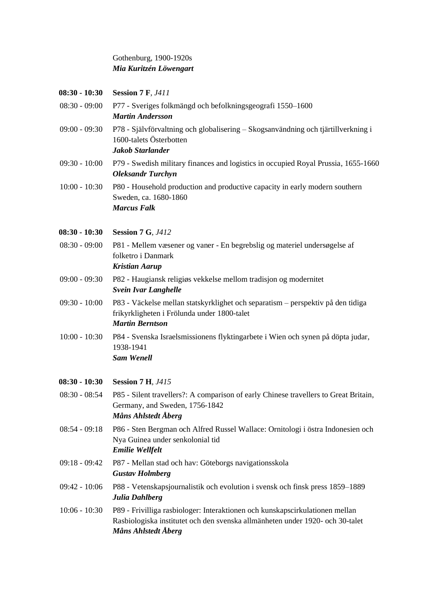### Gothenburg, 1900-1920s *Mia Kuritzén Löwengart*

| $08:30 - 10:30$ | <b>Session 7 F, J411</b>                                                                                                                                                             |  |  |  |
|-----------------|--------------------------------------------------------------------------------------------------------------------------------------------------------------------------------------|--|--|--|
| $08:30 - 09:00$ | P77 - Sveriges folkmängd och befolkningsgeografi 1550–1600<br><b>Martin Andersson</b>                                                                                                |  |  |  |
| $09:00 - 09:30$ | P78 - Självförvaltning och globalisering – Skogsanvändning och tjärtillverkning i<br>1600-talets Österbotten<br>Jakob Starlander                                                     |  |  |  |
| $09:30 - 10:00$ | P79 - Swedish military finances and logistics in occupied Royal Prussia, 1655-1660<br><b>Oleksandr Turchyn</b>                                                                       |  |  |  |
| $10:00 - 10:30$ | P80 - Household production and productive capacity in early modern southern<br>Sweden, ca. 1680-1860<br><b>Marcus Falk</b>                                                           |  |  |  |
| $08:30 - 10:30$ | <b>Session 7 G, J412</b>                                                                                                                                                             |  |  |  |
| $08:30 - 09:00$ | P81 - Mellem væsener og vaner - En begrebslig og materiel undersøgelse af<br>folketro i Danmark<br><b>Kristian Aarup</b>                                                             |  |  |  |
| $09:00 - 09:30$ | P82 - Haugiansk religiøs vekkelse mellom tradisjon og modernitet<br><b>Svein Ivar Langhelle</b>                                                                                      |  |  |  |
| $09:30 - 10:00$ | P83 - Väckelse mellan statskyrklighet och separatism - perspektiv på den tidiga<br>frikyrkligheten i Frölunda under 1800-talet<br><b>Martin Berntson</b>                             |  |  |  |
| $10:00 - 10:30$ | P84 - Svenska Israelsmissionens flyktingarbete i Wien och synen på döpta judar,<br>1938-1941<br><b>Sam Wenell</b>                                                                    |  |  |  |
| $08:30 - 10:30$ | <b>Session 7 H, J415</b>                                                                                                                                                             |  |  |  |
| $08:30 - 08:54$ | P85 - Silent travellers?: A comparison of early Chinese travellers to Great Britain,<br>Germany, and Sweden, 1756-1842<br>Måns Ahlstedt Åberg                                        |  |  |  |
| $08:54 - 09:18$ | P86 - Sten Bergman och Alfred Russel Wallace: Ornitologi i östra Indonesien och<br>Nya Guinea under senkolonial tid<br><b>Emilie Wellfelt</b>                                        |  |  |  |
| $09:18 - 09:42$ | P87 - Mellan stad och hav: Göteborgs navigationsskola<br><b>Gustav Holmberg</b>                                                                                                      |  |  |  |
| $09:42 - 10:06$ | P88 - Vetenskapsjournalistik och evolution i svensk och finsk press 1859–1889<br>Julia Dahlberg                                                                                      |  |  |  |
| $10:06 - 10:30$ | P89 - Frivilliga rasbiologer: Interaktionen och kunskapscirkulationen mellan<br>Rasbiologiska institutet och den svenska allmänheten under 1920- och 30-talet<br>Måns Ahlstedt Åberg |  |  |  |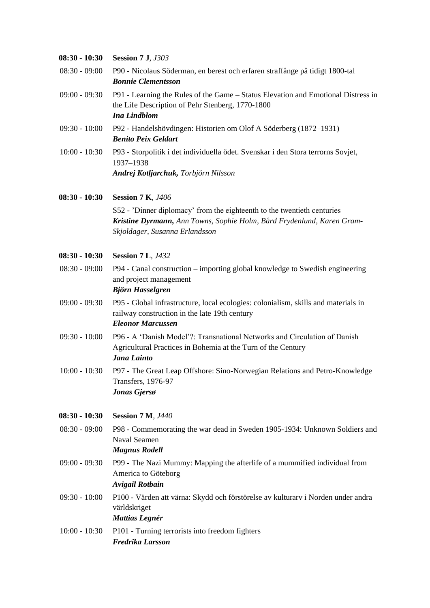| 08:30 - 10:30   | <b>Session 7 J, J303</b>                                                                                                                                                            |  |  |  |
|-----------------|-------------------------------------------------------------------------------------------------------------------------------------------------------------------------------------|--|--|--|
| $08:30 - 09:00$ | P90 - Nicolaus Söderman, en berest och erfaren straffånge på tidigt 1800-tal<br><b>Bonnie Clementsson</b>                                                                           |  |  |  |
| $09:00 - 09:30$ | P91 - Learning the Rules of the Game - Status Elevation and Emotional Distress in<br>the Life Description of Pehr Stenberg, 1770-1800<br><b>Ina Lindblom</b>                        |  |  |  |
| $09:30 - 10:00$ | P92 - Handelshövdingen: Historien om Olof A Söderberg (1872–1931)<br><b>Benito Peix Geldart</b>                                                                                     |  |  |  |
| $10:00 - 10:30$ | P93 - Storpolitik i det individuella ödet. Svenskar i den Stora terrorns Sovjet,<br>1937-1938<br>Andrej Kotljarchuk, Torbjörn Nilsson                                               |  |  |  |
| 08:30 - 10:30   | <b>Session 7 K, J406</b>                                                                                                                                                            |  |  |  |
|                 | S52 - 'Dinner diplomacy' from the eighteenth to the twentieth centuries<br>Kristine Dyrmann, Ann Towns, Sophie Holm, Bård Frydenlund, Karen Gram-<br>Skjoldager, Susanna Erlandsson |  |  |  |
| 08:30 - 10:30   | <b>Session 7 L, J432</b>                                                                                                                                                            |  |  |  |
| $08:30 - 09:00$ | P94 - Canal construction – importing global knowledge to Swedish engineering<br>and project management<br>Björn Hasselgren                                                          |  |  |  |
| $09:00 - 09:30$ | P95 - Global infrastructure, local ecologies: colonialism, skills and materials in<br>railway construction in the late 19th century<br><b>Eleonor Marcussen</b>                     |  |  |  |
| $09:30 - 10:00$ | P96 - A 'Danish Model'?: Transnational Networks and Circulation of Danish<br>Agricultural Practices in Bohemia at the Turn of the Century<br>Jana Lainto                            |  |  |  |
| $10:00 - 10:30$ | P97 - The Great Leap Offshore: Sino-Norwegian Relations and Petro-Knowledge<br>Transfers, 1976-97<br>Jonas Gjersø                                                                   |  |  |  |
| 08:30 - 10:30   | <b>Session 7 M, J440</b>                                                                                                                                                            |  |  |  |
| $08:30 - 09:00$ | P98 - Commemorating the war dead in Sweden 1905-1934: Unknown Soldiers and<br><b>Naval Seamen</b><br><b>Magnus Rodell</b>                                                           |  |  |  |
| $09:00 - 09:30$ | P99 - The Nazi Mummy: Mapping the afterlife of a mummified individual from<br>America to Göteborg<br><b>Avigail Rotbain</b>                                                         |  |  |  |
| $09:30 - 10:00$ | P100 - Värden att värna: Skydd och förstörelse av kulturarv i Norden under andra<br>världskriget<br><b>Mattias Legnér</b>                                                           |  |  |  |
| $10:00 - 10:30$ | P101 - Turning terrorists into freedom fighters<br>Fredrika Larsson                                                                                                                 |  |  |  |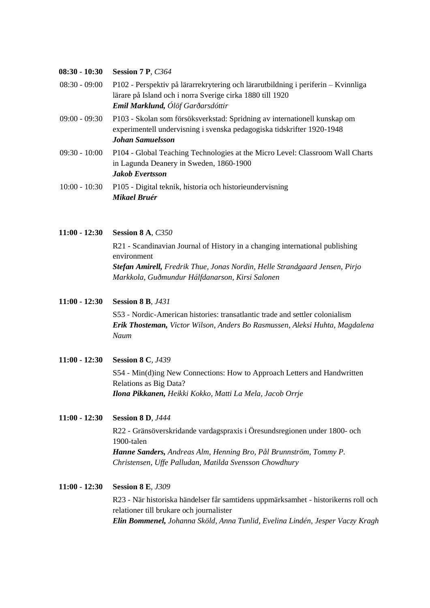#### **08:30 - 10:30 Session 7 P***, C364*

- 08:30 09:00 P102 Perspektiv på lärarrekrytering och lärarutbildning i periferin Kvinnliga lärare på Island och i norra Sverige cirka 1880 till 1920 *Emil Marklund, Ólöf Garðarsdóttir*
- 09:00 09:30 P103 Skolan som försöksverkstad: Spridning av internationell kunskap om experimentell undervisning i svenska pedagogiska tidskrifter 1920-1948 *Johan Samuelsson*
- 09:30 10:00 P104 Global Teaching Technologies at the Micro Level: Classroom Wall Charts in Lagunda Deanery in Sweden, 1860-1900 *Jakob Evertsson*
- 10:00 10:30 P105 Digital teknik, historia och historieundervisning *Mikael Bruér*

#### **11:00 - 12:30 Session 8 A***, C350*

R21 - Scandinavian Journal of History in a changing international publishing environment *Stefan Amirell, Fredrik Thue, Jonas Nordin, Helle Strandgaard Jensen, Pirjo Markkola, Guðmundur Hálfdanarson, Kirsi Salonen*

**11:00 - 12:30 Session 8 B***, J431*

S53 - Nordic-American histories: transatlantic trade and settler colonialism *Erik Thosteman, Victor Wilson, Anders Bo Rasmussen, Aleksi Huhta, Magdalena Naum*

**11:00 - 12:30 Session 8 C***, J439*

S54 - Min(d)ing New Connections: How to Approach Letters and Handwritten Relations as Big Data? *Ilona Pikkanen, Heikki Kokko, Matti La Mela, Jacob Orrje*

**11:00 - 12:30 Session 8 D***, J444*

R22 - Gränsöverskridande vardagspraxis i Öresundsregionen under 1800- och 1900-talen *Hanne Sanders, Andreas Alm, Henning Bro, Pål Brunnström, Tommy P. Christensen, Uffe Palludan, Matilda Svensson Chowdhury*

**11:00 - 12:30 Session 8 E***, J309*

R23 - När historiska händelser får samtidens uppmärksamhet - historikerns roll och relationer till brukare och journalister *Elin Bommenel, Johanna Sköld, Anna Tunlid, Evelina Lindén, Jesper Vaczy Kragh*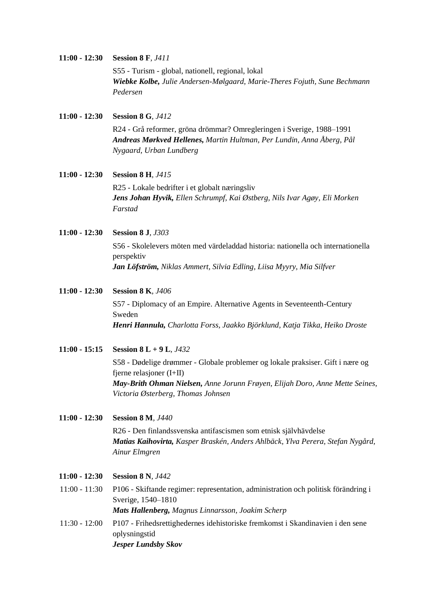#### **11:00 - 12:30 Session 8 F***, J411*

S55 - Turism - global, nationell, regional, lokal *Wiebke Kolbe, Julie Andersen-Mølgaard, Marie-Theres Fojuth, Sune Bechmann Pedersen*

**11:00 - 12:30 Session 8 G***, J412*

R24 - Grå reformer, gröna drömmar? Omregleringen i Sverige, 1988–1991 *Andreas Mørkved Hellenes, Martin Hultman, Per Lundin, Anna Åberg, Pål Nygaard, Urban Lundberg*

**11:00 - 12:30 Session 8 H***, J415* R25 - Lokale bedrifter i et globalt næringsliv *Jens Johan Hyvik, Ellen Schrumpf, Kai Østberg, Nils Ivar Agøy, Eli Morken* 

**11:00 - 12:30 Session 8 J***, J303*

*Farstad*

S56 - Skolelevers möten med värdeladdad historia: nationella och internationella perspektiv *Jan Löfström, Niklas Ammert, Silvia Edling, Liisa Myyry, Mia Silfver*

**11:00 - 12:30 Session 8 K***, J406*

S57 - Diplomacy of an Empire. Alternative Agents in Seventeenth-Century Sweden *Henri Hannula, Charlotta Forss, Jaakko Björklund, Katja Tikka, Heiko Droste*

**11:00 - 15:15 Session 8 L + 9 L***, J432*

S58 - Dødelige drømmer - Globale problemer og lokale praksiser. Gift i nære og fjerne relasjoner (I+II) *May-Brith Ohman Nielsen, Anne Jorunn Frøyen, Elijah Doro, Anne Mette Seines, Victoria Østerberg, Thomas Johnsen*

**11:00 - 12:30 Session 8 M***, J440*

R26 - Den finlandssvenska antifascismen som etnisk självhävdelse *Matias Kaihovirta, Kasper Braskén, Anders Ahlbäck, Ylva Perera, Stefan Nygård, Ainur Elmgren*

- **11:00 - 12:30 Session 8 N***, J442*
- 11:00 11:30 P106 Skiftande regimer: representation, administration och politisk förändring i Sverige, 1540–1810 *Mats Hallenberg, Magnus Linnarsson, Joakim Scherp*
- 11:30 12:00 P107 Frihedsrettighedernes idehistoriske fremkomst i Skandinavien i den sene oplysningstid *Jesper Lundsby Skov*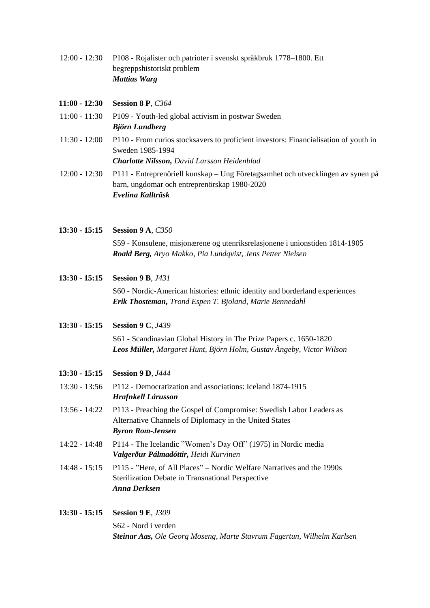12:00 - 12:30 P108 - Rojalister och patrioter i svenskt språkbruk 1778–1800. Ett begreppshistoriskt problem *Mattias Warg*

| 11:00 - 12:30 Session 8 P, $C364$ |  |  |
|-----------------------------------|--|--|
|                                   |  |  |

- 11:00 11:30 P109 Youth-led global activism in postwar Sweden *Björn Lundberg*
- 11:30 12:00 P110 From curios stocksavers to proficient investors: Financialisation of youth in Sweden 1985-1994 *Charlotte Nilsson, David Larsson Heidenblad*
- 12:00 12:30 P111 Entreprenöriell kunskap Ung Företagsamhet och utvecklingen av synen på barn, ungdomar och entreprenörskap 1980-2020 *Evelina Kallträsk*
- **13:30 - 15:15 Session 9 A***, C350* S59 - Konsulene, misjonærene og utenriksrelasjonene i unionstiden 1814-1905 *Roald Berg, Aryo Makko, Pia Lundqvist, Jens Petter Nielsen*
- **13:30 - 15:15 Session 9 B***, J431* S60 - Nordic-American histories: ethnic identity and borderland experiences *Erik Thosteman, Trond Espen T. Bjoland, Marie Bennedahl*
- **13:30 - 15:15 Session 9 C***, J439*

S61 - Scandinavian Global History in The Prize Papers c. 1650-1820 *Leos Müller, Margaret Hunt, Björn Holm, Gustav Ängeby, Victor Wilson*

- **13:30 - 15:15 Session 9 D***, J444*
- 13:30 13:56 P112 Democratization and associations: Iceland 1874-1915 *Hrafnkell Lárusson*
- 13:56 14:22 P113 Preaching the Gospel of Compromise: Swedish Labor Leaders as Alternative Channels of Diplomacy in the United States *Byron Rom-Jensen*
- 14:22 14:48 P114 The Icelandic "Women's Day Off" (1975) in Nordic media *Valgerður Pálmadóttir, Heidi Kurvinen*
- 14:48 15:15 P115 "Here, of All Places" Nordic Welfare Narratives and the 1990s Sterilization Debate in Transnational Perspective *Anna Derksen*

#### **13:30 - 15:15 Session 9 E***, J309*

S62 - Nord i verden *Steinar Aas, Ole Georg Moseng, Marte Stavrum Fagertun, Wilhelm Karlsen*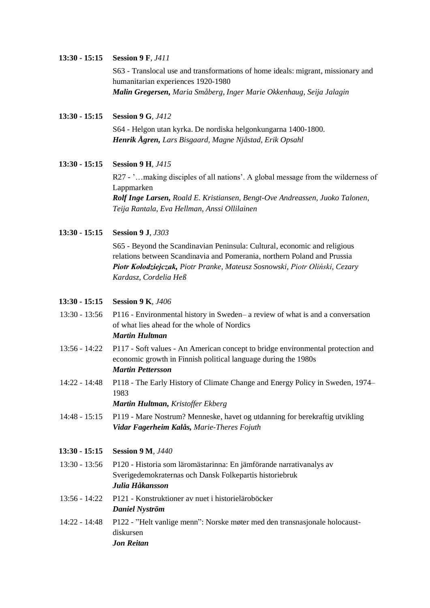#### **13:30 - 15:15 Session 9 F***, J411*

S63 - Translocal use and transformations of home ideals: migrant, missionary and humanitarian experiences 1920-1980 *Malin Gregersen, Maria Småberg, Inger Marie Okkenhaug, Seija Jalagin*

**13:30 - 15:15 Session 9 G***, J412*

S64 - Helgon utan kyrka. De nordiska helgonkungarna 1400-1800. *Henrik Ågren, Lars Bisgaard, Magne Njåstad, Erik Opsahl*

**13:30 - 15:15 Session 9 H***, J415*

R27 - '…making disciples of all nations'. A global message from the wilderness of Lappmarken

*Rolf Inge Larsen, Roald E. Kristiansen, Bengt-Ove Andreassen, Juoko Talonen, Teija Rantala, Eva Hellman, Anssi Ollilainen*

**13:30 - 15:15 Session 9 J***, J303*

S65 - Beyond the Scandinavian Peninsula: Cultural, economic and religious relations between Scandinavia and Pomerania, northern Poland and Prussia *Piotr Kołodziejczak, Piotr Pranke, Mateusz Sosnowski, Piotr Oliński, Cezary Kardasz, Cordelia Heß*

**13:30 - 15:15 Session 9 K***, J406*

- 13:30 13:56 P116 Environmental history in Sweden– a review of what is and a conversation of what lies ahead for the whole of Nordics *Martin Hultman*
- 13:56 14:22 P117 Soft values An American concept to bridge environmental protection and economic growth in Finnish political language during the 1980s *Martin Pettersson*
- 14:22 14:48 P118 The Early History of Climate Change and Energy Policy in Sweden, 1974– 1983

*Martin Hultman, Kristoffer Ekberg*

14:48 - 15:15 P119 - Mare Nostrum? Menneske, havet og utdanning for berekraftig utvikling *Vidar Fagerheim Kalås, Marie-Theres Fojuth*

#### **13:30 - 15:15 Session 9 M***, J440*

- 13:30 13:56 P120 Historia som läromästarinna: En jämförande narrativanalys av Sverigedemokraternas och Dansk Folkepartis historiebruk *Julia Håkansson*
- 13:56 14:22 P121 Konstruktioner av nuet i historieläroböcker *Daniel Nyström*
- 14:22 14:48 P122 "Helt vanlige menn": Norske møter med den transnasjonale holocaustdiskursen *Jon Reitan*